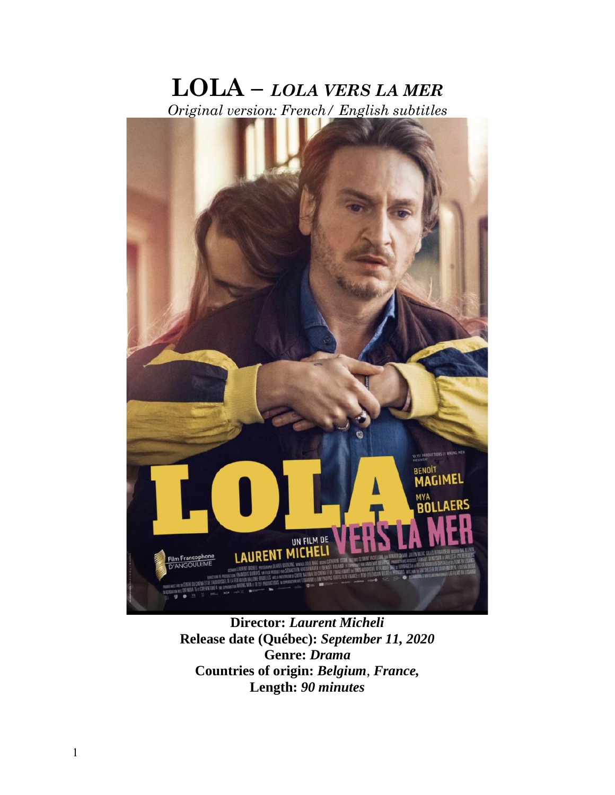# **LOLA –** *LOLA VERS LA MER Original version: French/ English subtitles*



**Director:** *Laurent Micheli* **Release date (Québec):** *September 11, 2020* **Genre:** *Drama* **Countries of origin:** *Belgium*, *France,*  **Length:** *90 minutes*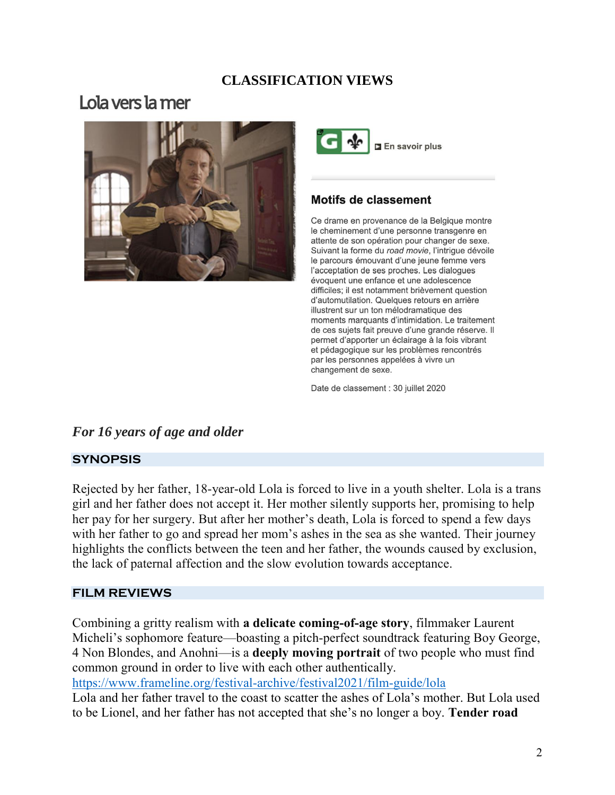## **CLASSIFICATION VIEWS**

## Lola vers la mer





## **Motifs de classement**

Ce drame en provenance de la Belgique montre le cheminement d'une personne transgenre en attente de son opération pour changer de sexe. Suivant la forme du road movie, l'intrigue dévoile le parcours émouvant d'une jeune femme vers l'acceptation de ses proches. Les dialogues évoquent une enfance et une adolescence difficiles; il est notamment brièvement question d'automutilation. Quelques retours en arrière illustrent sur un ton mélodramatique des moments marquants d'intimidation. Le traitement de ces sujets fait preuve d'une grande réserve. Il permet d'apporter un éclairage à la fois vibrant et pédagogique sur les problèmes rencontrés par les personnes appelées à vivre un changement de sexe.

Date de classement : 30 juillet 2020

## *For 16 years of age and older*

#### **SYNOPSIS**

Rejected by her father, 18-year-old Lola is forced to live in a youth shelter. Lola is a trans girl and her father does not accept it. Her mother silently supports her, promising to help her pay for her surgery. But after her mother's death, Lola is forced to spend a few days with her father to go and spread her mom's ashes in the sea as she wanted. Their journey highlights the conflicts between the teen and her father, the wounds caused by exclusion, the lack of paternal affection and the slow evolution towards acceptance.

#### **FILM REVIEWS**

Combining a gritty realism with **a delicate coming-of-age story**, filmmaker Laurent Micheli's sophomore feature—boasting a pitch-perfect soundtrack featuring Boy George, 4 Non Blondes, and Anohni—is a **deeply moving portrait** of two people who must find common ground in order to live with each other authentically.

<https://www.frameline.org/festival-archive/festival2021/film-guide/lola>

Lola and her father travel to the coast to scatter the ashes of Lola's mother. But Lola used to be Lionel, and her father has not accepted that she's no longer a boy. **Tender road**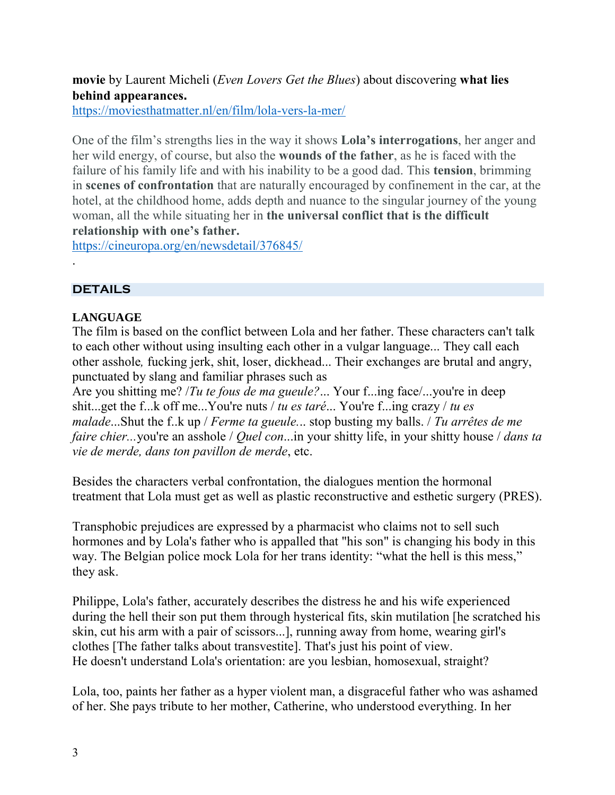**movie** by Laurent Micheli (*Even Lovers Get the Blues*) about discovering **what lies behind appearances.**

<https://moviesthatmatter.nl/en/film/lola-vers-la-mer/>

One of the film's strengths lies in the way it shows **Lola's interrogations**, her anger and her wild energy, of course, but also the **wounds of the father**, as he is faced with the failure of his family life and with his inability to be a good dad. This **tension**, brimming in **scenes of confrontation** that are naturally encouraged by confinement in the car, at the hotel, at the childhood home, adds depth and nuance to the singular journey of the young woman, all the while situating her in **the universal conflict that is the difficult relationship with one's father.**

<https://cineuropa.org/en/newsdetail/376845/>

#### **DETAILS**

.

#### **LANGUAGE**

The film is based on the conflict between Lola and her father. These characters can't talk to each other without using insulting each other in a vulgar language... They call each other asshole*,* fucking jerk, shit, loser, dickhead... Their exchanges are brutal and angry, punctuated by slang and familiar phrases such as

Are you shitting me? /*Tu te fous de ma gueule?*... Your f...ing face/...you're in deep shit...get the f...k off me...You're nuts / *tu es taré*... You're f...ing crazy / *tu es malade*...Shut the f..k up / *Ferme ta gueule.*.. stop busting my balls. / *Tu arrêtes de me faire chier...*you're an asshole / *Quel con*...in your shitty life, in your shitty house / *dans ta vie de merde, dans ton pavillon de merde*, etc.

Besides the characters verbal confrontation, the dialogues mention the hormonal treatment that Lola must get as well as plastic reconstructive and esthetic surgery (PRES).

Transphobic prejudices are expressed by a pharmacist who claims not to sell such hormones and by Lola's father who is appalled that "his son" is changing his body in this way. The Belgian police mock Lola for her trans identity: "what the hell is this mess," they ask.

Philippe, Lola's father, accurately describes the distress he and his wife experienced during the hell their son put them through hysterical fits, skin mutilation [he scratched his skin, cut his arm with a pair of scissors...], running away from home, wearing girl's clothes [The father talks about transvestite]. That's just his point of view. He doesn't understand Lola's orientation: are you lesbian, homosexual, straight?

Lola, too, paints her father as a hyper violent man, a disgraceful father who was ashamed of her. She pays tribute to her mother, Catherine, who understood everything. In her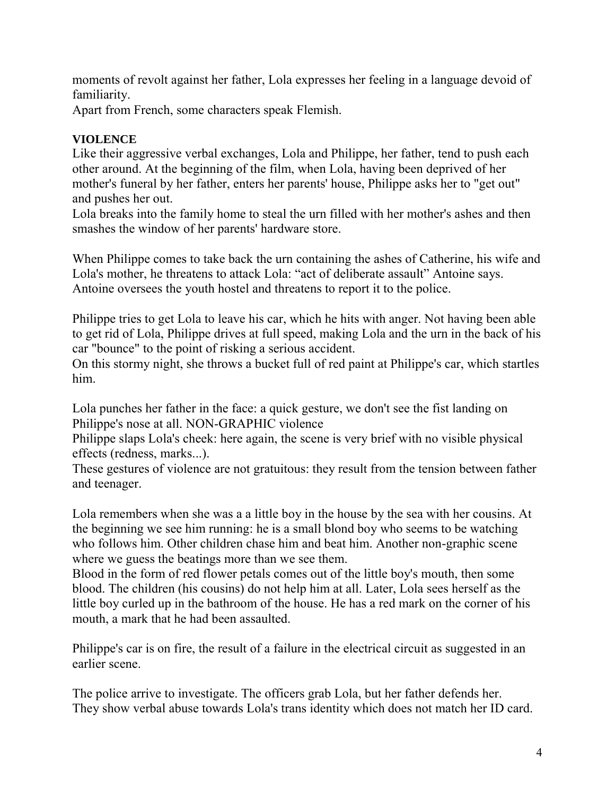moments of revolt against her father, Lola expresses her feeling in a language devoid of familiarity.

Apart from French, some characters speak Flemish.

## **VIOLENCE**

Like their aggressive verbal exchanges, Lola and Philippe, her father, tend to push each other around. At the beginning of the film, when Lola, having been deprived of her mother's funeral by her father, enters her parents' house, Philippe asks her to "get out" and pushes her out.

Lola breaks into the family home to steal the urn filled with her mother's ashes and then smashes the window of her parents' hardware store.

When Philippe comes to take back the urn containing the ashes of Catherine, his wife and Lola's mother, he threatens to attack Lola: "act of deliberate assault" Antoine says. Antoine oversees the youth hostel and threatens to report it to the police.

Philippe tries to get Lola to leave his car, which he hits with anger. Not having been able to get rid of Lola, Philippe drives at full speed, making Lola and the urn in the back of his car "bounce" to the point of risking a serious accident.

On this stormy night, she throws a bucket full of red paint at Philippe's car, which startles him.

Lola punches her father in the face: a quick gesture, we don't see the fist landing on Philippe's nose at all. NON-GRAPHIC violence

Philippe slaps Lola's cheek: here again, the scene is very brief with no visible physical effects (redness, marks...).

These gestures of violence are not gratuitous: they result from the tension between father and teenager.

Lola remembers when she was a a little boy in the house by the sea with her cousins. At the beginning we see him running: he is a small blond boy who seems to be watching who follows him. Other children chase him and beat him. Another non-graphic scene where we guess the beatings more than we see them.

Blood in the form of red flower petals comes out of the little boy's mouth, then some blood. The children (his cousins) do not help him at all. Later, Lola sees herself as the little boy curled up in the bathroom of the house. He has a red mark on the corner of his mouth, a mark that he had been assaulted.

Philippe's car is on fire, the result of a failure in the electrical circuit as suggested in an earlier scene.

The police arrive to investigate. The officers grab Lola, but her father defends her. They show verbal abuse towards Lola's trans identity which does not match her ID card.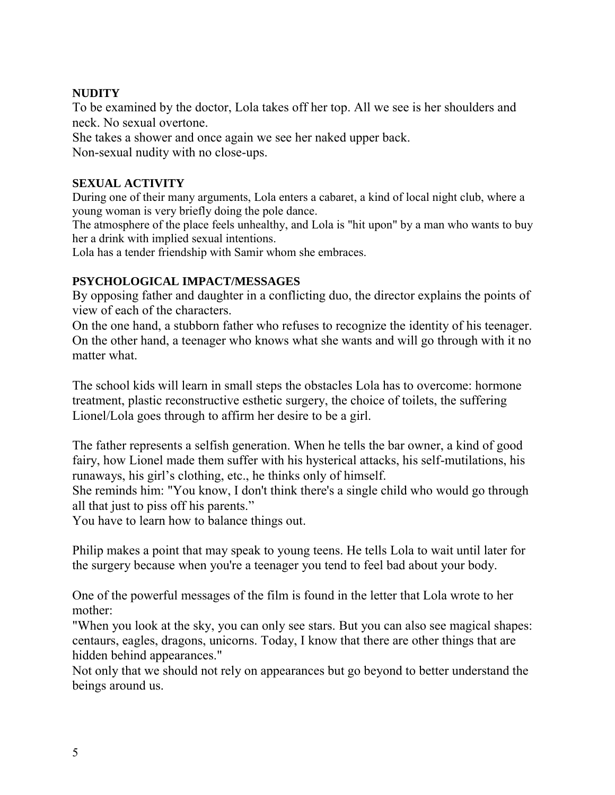#### **NUDITY**

To be examined by the doctor, Lola takes off her top. All we see is her shoulders and neck. No sexual overtone.

She takes a shower and once again we see her naked upper back. Non-sexual nudity with no close-ups.

#### **SEXUAL ACTIVITY**

During one of their many arguments, Lola enters a cabaret, a kind of local night club, where a young woman is very briefly doing the pole dance.

The atmosphere of the place feels unhealthy, and Lola is "hit upon" by a man who wants to buy her a drink with implied sexual intentions.

Lola has a tender friendship with Samir whom she embraces.

## **PSYCHOLOGICAL IMPACT/MESSAGES**

By opposing father and daughter in a conflicting duo, the director explains the points of view of each of the characters.

On the one hand, a stubborn father who refuses to recognize the identity of his teenager. On the other hand, a teenager who knows what she wants and will go through with it no matter what.

The school kids will learn in small steps the obstacles Lola has to overcome: hormone treatment, plastic reconstructive esthetic surgery, the choice of toilets, the suffering Lionel/Lola goes through to affirm her desire to be a girl.

The father represents a selfish generation. When he tells the bar owner, a kind of good fairy, how Lionel made them suffer with his hysterical attacks, his self-mutilations, his runaways, his girl's clothing, etc., he thinks only of himself.

She reminds him: "You know, I don't think there's a single child who would go through all that just to piss off his parents."

You have to learn how to balance things out.

Philip makes a point that may speak to young teens. He tells Lola to wait until later for the surgery because when you're a teenager you tend to feel bad about your body.

One of the powerful messages of the film is found in the letter that Lola wrote to her mother:

"When you look at the sky, you can only see stars. But you can also see magical shapes: centaurs, eagles, dragons, unicorns. Today, I know that there are other things that are hidden behind appearances."

Not only that we should not rely on appearances but go beyond to better understand the beings around us.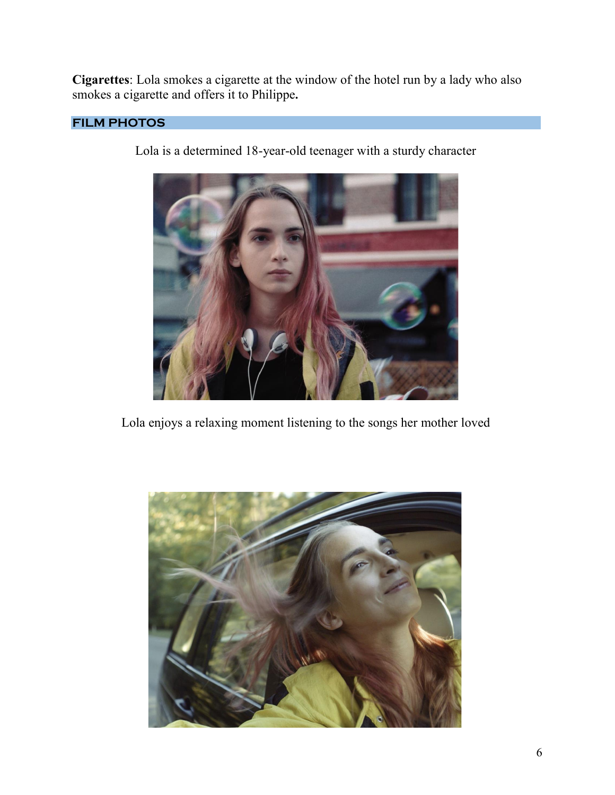**Cigarettes**: Lola smokes a cigarette at the window of the hotel run by a lady who also smokes a cigarette and offers it to Philippe**.**

## **FILM PHOTOS**

Lola is a determined 18-year-old teenager with a sturdy character



Lola enjoys a relaxing moment listening to the songs her mother loved

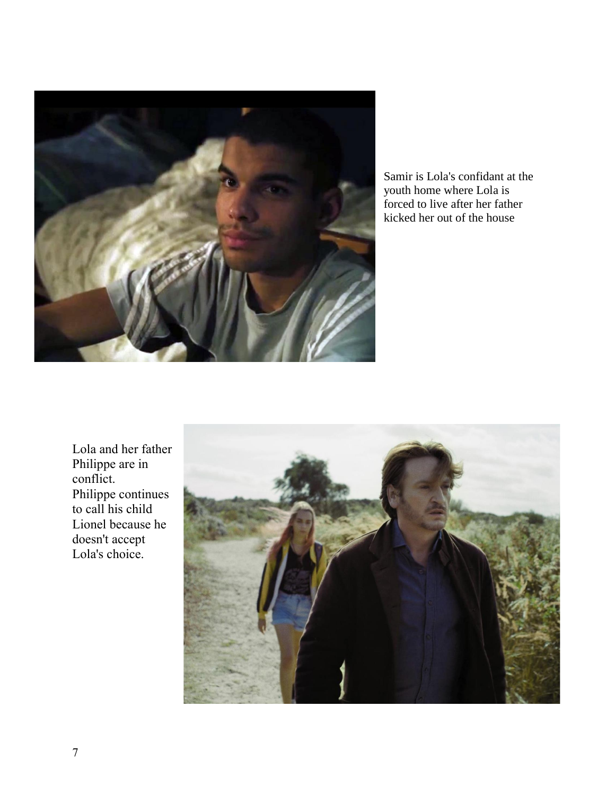

Samir is Lola's confidant at the youth home where Lola is forced to live after her father kicked her out of the house

Lola and her father Philippe are in conflict. Philippe continues to call his child Lionel because he doesn't accept Lola's choice.